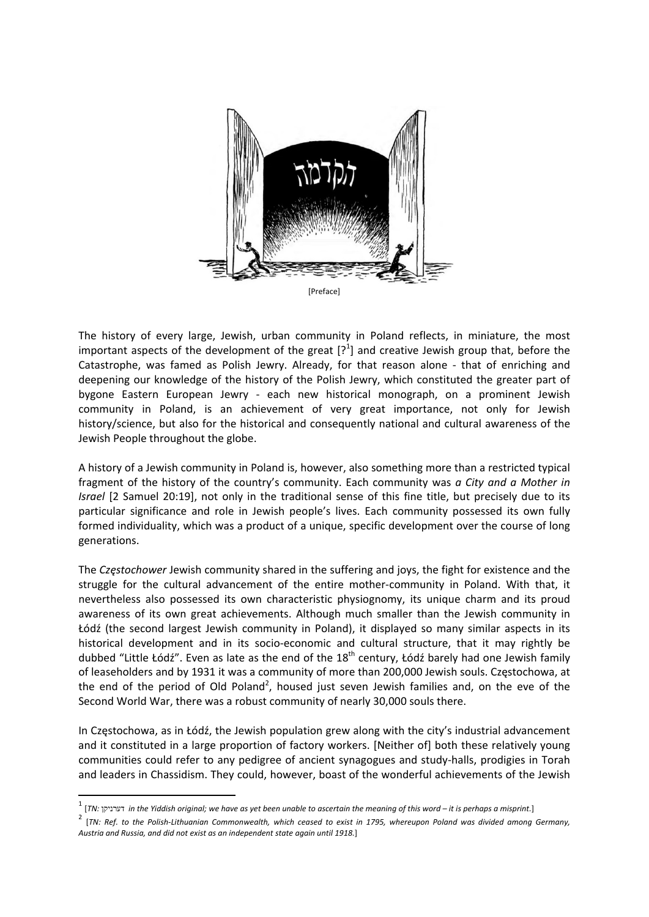

The history of every large, Jewish, urban community in Poland reflects, in miniature, the most important aspects of the development of the great  $[?^1]$  and creative Jewish group that, before the Catastrophe, was famed as Polish Jewry. Already, for that reason alone ‐ that of enriching and deepening our knowledge of the history of the Polish Jewry, which constituted the greater part of bygone Eastern European Jewry ‐ each new historical monograph, on a prominent Jewish community in Poland, is an achievement of very great importance, not only for Jewish history/science, but also for the historical and consequently national and cultural awareness of the Jewish People throughout the globe.

A history of a Jewish community in Poland is, however, also something more than a restricted typical fragment of the history of the country's community. Each community was *a City and a Mother in Israel* [2 Samuel 20:19], not only in the traditional sense of this fine title, but precisely due to its particular significance and role in Jewish people's lives. Each community possessed its own fully formed individuality, which was a product of a unique, specific development over the course of long generations.

The *Częstochower* Jewish community shared in the suffering and joys, the fight for existence and the struggle for the cultural advancement of the entire mother‐community in Poland. With that, it nevertheless also possessed its own characteristic physiognomy, its unique charm and its proud awareness of its own great achievements. Although much smaller than the Jewish community in Łódź (the second largest Jewish community in Poland), it displayed so many similar aspects in its historical development and in its socio-economic and cultural structure, that it may rightly be dubbed "Little Łódź". Even as late as the end of the  $18<sup>th</sup>$  century, Łódź barely had one Jewish family of leaseholders and by 1931 it was a community of more than 200,000 Jewish souls. Częstochowa, at the end of the period of Old Poland<sup>2</sup>, housed just seven Jewish families and, on the eve of the Second World War, there was a robust community of nearly 30,000 souls there.

In Częstochowa, as in Łódź, the Jewish population grew along with the city's industrial advancement and it constituted in a large proportion of factory workers. [Neither of] both these relatively young communities could refer to any pedigree of ancient synagogues and study‐halls, prodigies in Torah and leaders in Chassidism. They could, however, boast of the wonderful achievements of the Jewish

<sup>&</sup>lt;sup>1</sup> [TN: דערניקן in the Yiddish original; we have as yet been unable to ascertain the meaning of this word – it is perhaps a misprint.]

<sup>[</sup>TN: Ref. to the Polish-Lithuanian Commonwealth, which ceased to exist in 1795, whereupon Poland was divided among Germany, *Austria and Russia, and did not exist as an independent state again until 1918.*]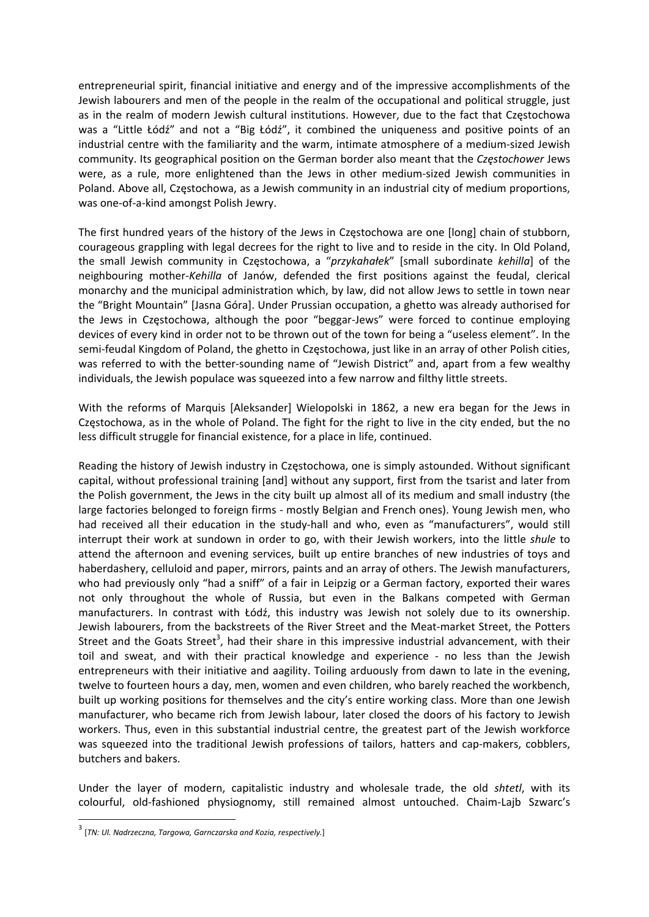entrepreneurial spirit, financial initiative and energy and of the impressive accomplishments of the Jewish labourers and men of the people in the realm of the occupational and political struggle, just as in the realm of modern Jewish cultural institutions. However, due to the fact that Częstochowa was a "Little Łódź" and not a "Big Łódź", it combined the uniqueness and positive points of an industrial centre with the familiarity and the warm, intimate atmosphere of a medium‐sized Jewish community. Its geographical position on the German border also meant that the *Częstochower* Jews were, as a rule, more enlightened than the Jews in other medium-sized Jewish communities in Poland. Above all, Częstochowa, as a Jewish community in an industrial city of medium proportions, was one‐of‐a‐kind amongst Polish Jewry.

The first hundred years of the history of the Jews in Częstochowa are one [long] chain of stubborn, courageous grappling with legal decrees for the right to live and to reside in the city. In Old Poland, the small Jewish community in Częstochowa, a "*przykahałek*" [small subordinate *kehilla*] of the neighbouring mother‐*Kehilla* of Janów, defended the first positions against the feudal, clerical monarchy and the municipal administration which, by law, did not allow Jews to settle in town near the "Bright Mountain" [Jasna Góra]. Under Prussian occupation, a ghetto was already authorised for the Jews in Częstochowa, although the poor "beggar‐Jews" were forced to continue employing devices of every kind in order not to be thrown out of the town for being a "useless element". In the semi-feudal Kingdom of Poland, the ghetto in Częstochowa, just like in an array of other Polish cities, was referred to with the better-sounding name of "Jewish District" and, apart from a few wealthy individuals, the Jewish populace was squeezed into a few narrow and filthy little streets.

With the reforms of Marquis [Aleksander] Wielopolski in 1862, a new era began for the Jews in Częstochowa, as in the whole of Poland. The fight for the right to live in the city ended, but the no less difficult struggle for financial existence, for a place in life, continued.

Reading the history of Jewish industry in Częstochowa, one is simply astounded. Without significant capital, without professional training [and] without any support, first from the tsarist and later from the Polish government, the Jews in the city built up almost all of its medium and small industry (the large factories belonged to foreign firms ‐ mostly Belgian and French ones). Young Jewish men, who had received all their education in the study-hall and who, even as "manufacturers", would still interrupt their work at sundown in order to go, with their Jewish workers, into the little *shule* to attend the afternoon and evening services, built up entire branches of new industries of toys and haberdashery, celluloid and paper, mirrors, paints and an array of others. The Jewish manufacturers, who had previously only "had a sniff" of a fair in Leipzig or a German factory, exported their wares not only throughout the whole of Russia, but even in the Balkans competed with German manufacturers. In contrast with Łódź, this industry was Jewish not solely due to its ownership. Jewish labourers, from the backstreets of the River Street and the Meat-market Street, the Potters Street and the Goats Street<sup>3</sup>, had their share in this impressive industrial advancement, with their toil and sweat, and with their practical knowledge and experience - no less than the Jewish entrepreneurs with their initiative and aagility. Toiling arduously from dawn to late in the evening, twelve to fourteen hours a day, men, women and even children, who barely reached the workbench, built up working positions for themselves and the city's entire working class. More than one Jewish manufacturer, who became rich from Jewish labour, later closed the doors of his factory to Jewish workers. Thus, even in this substantial industrial centre, the greatest part of the Jewish workforce was squeezed into the traditional Jewish professions of tailors, hatters and cap-makers, cobblers, butchers and bakers.

Under the layer of modern, capitalistic industry and wholesale trade, the old *shtetl*, with its colourful, old‐fashioned physiognomy, still remained almost untouched. Chaim‐Lajb Szwarc's

<sup>3</sup> [*TN: Ul. Nadrzeczna, Targowa, Garnczarska and Kozia, respectively.*]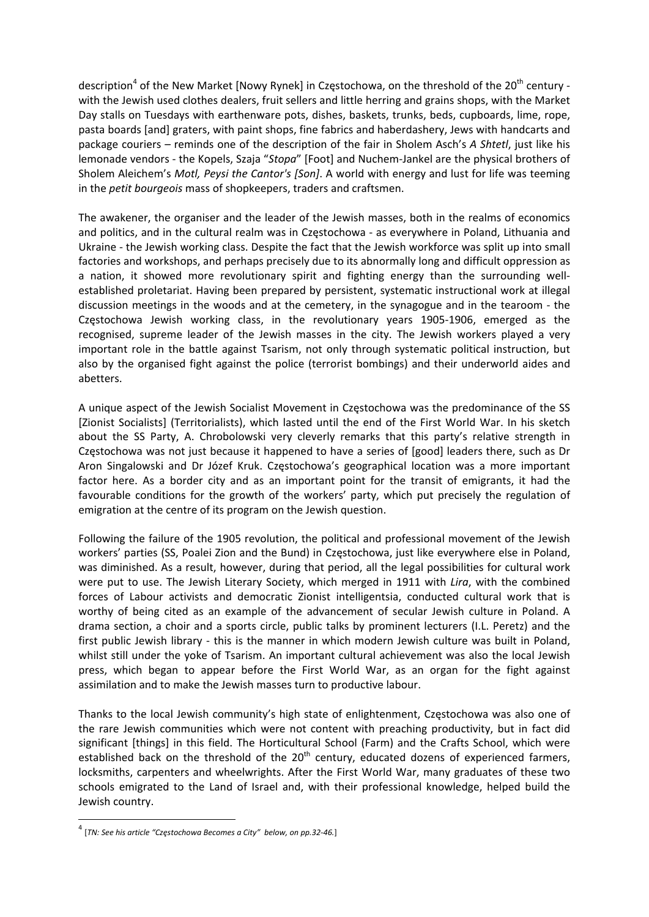description<sup>4</sup> of the New Market [Nowy Rynek] in Częstochowa, on the threshold of the 20<sup>th</sup> century with the Jewish used clothes dealers, fruit sellers and little herring and grains shops, with the Market Day stalls on Tuesdays with earthenware pots, dishes, baskets, trunks, beds, cupboards, lime, rope, pasta boards [and] graters, with paint shops, fine fabrics and haberdashery, Jews with handcarts and package couriers – reminds one of the description of the fair in Sholem Asch's *A Shtetl*, just like his lemonade vendors ‐ the Kopels, Szaja "*Stopa*" [Foot] and Nuchem‐Jankel are the physical brothers of Sholem Aleichem's *Motl, Peysi the Cantor's [Son]*. A world with energy and lust for life was teeming in the *petit bourgeois* mass of shopkeepers, traders and craftsmen.

The awakener, the organiser and the leader of the Jewish masses, both in the realms of economics and politics, and in the cultural realm was in Częstochowa ‐ as everywhere in Poland, Lithuania and Ukraine ‐ the Jewish working class. Despite the fact that the Jewish workforce was split up into small factories and workshops, and perhaps precisely due to its abnormally long and difficult oppression as a nation, it showed more revolutionary spirit and fighting energy than the surrounding wellestablished proletariat. Having been prepared by persistent, systematic instructional work at illegal discussion meetings in the woods and at the cemetery, in the synagogue and in the tearoom ‐ the Częstochowa Jewish working class, in the revolutionary years 1905‐1906, emerged as the recognised, supreme leader of the Jewish masses in the city. The Jewish workers played a very important role in the battle against Tsarism, not only through systematic political instruction, but also by the organised fight against the police (terrorist bombings) and their underworld aides and abetters.

A unique aspect of the Jewish Socialist Movement in Częstochowa was the predominance of the SS [Zionist Socialists] (Territorialists), which lasted until the end of the First World War. In his sketch about the SS Party, A. Chrobolowski very cleverly remarks that this party's relative strength in Częstochowa was not just because it happened to have a series of [good] leaders there, such as Dr Aron Singalowski and Dr Józef Kruk. Częstochowa's geographical location was a more important factor here. As a border city and as an important point for the transit of emigrants, it had the favourable conditions for the growth of the workers' party, which put precisely the regulation of emigration at the centre of its program on the Jewish question.

Following the failure of the 1905 revolution, the political and professional movement of the Jewish workers' parties (SS, Poalei Zion and the Bund) in Częstochowa, just like everywhere else in Poland, was diminished. As a result, however, during that period, all the legal possibilities for cultural work were put to use. The Jewish Literary Society, which merged in 1911 with *Lira*, with the combined forces of Labour activists and democratic Zionist intelligentsia, conducted cultural work that is worthy of being cited as an example of the advancement of secular Jewish culture in Poland. A drama section, a choir and a sports circle, public talks by prominent lecturers (I.L. Peretz) and the first public Jewish library - this is the manner in which modern Jewish culture was built in Poland, whilst still under the yoke of Tsarism. An important cultural achievement was also the local Jewish press, which began to appear before the First World War, as an organ for the fight against assimilation and to make the Jewish masses turn to productive labour.

Thanks to the local Jewish community's high state of enlightenment, Częstochowa was also one of the rare Jewish communities which were not content with preaching productivity, but in fact did significant [things] in this field. The Horticultural School (Farm) and the Crafts School, which were established back on the threshold of the 20<sup>th</sup> century, educated dozens of experienced farmers, locksmiths, carpenters and wheelwrights. After the First World War, many graduates of these two schools emigrated to the Land of Israel and, with their professional knowledge, helped build the Jewish country.

<sup>4</sup> [*TN: See his article "Częstochowa Becomes <sup>a</sup> City" below, on pp.32‐46.*]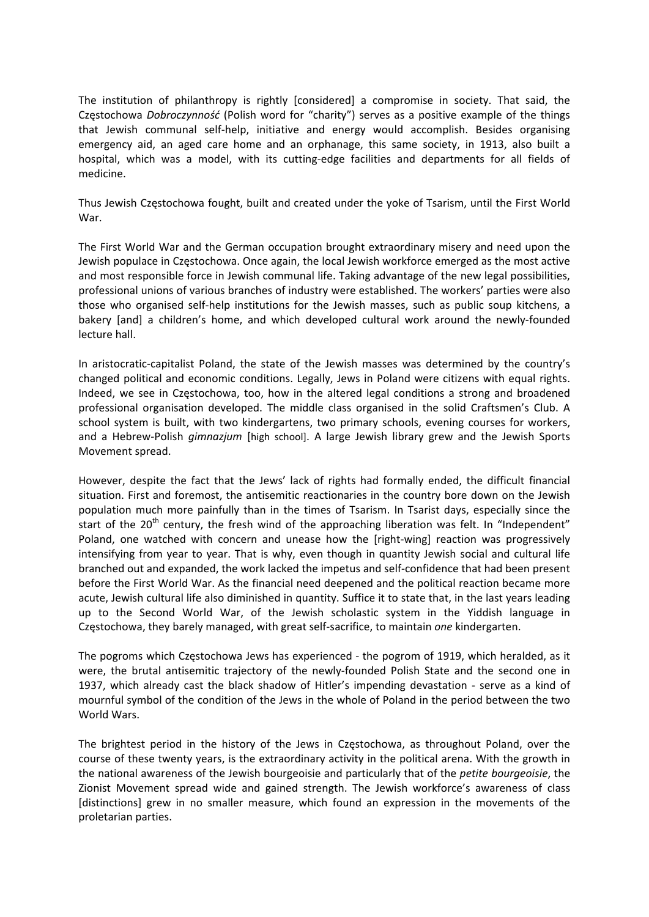The institution of philanthropy is rightly [considered] a compromise in society. That said, the Częstochowa *Dobroczynność* (Polish word for "charity") serves as a positive example of the things that Jewish communal self‐help, initiative and energy would accomplish. Besides organising emergency aid, an aged care home and an orphanage, this same society, in 1913, also built a hospital, which was a model, with its cutting-edge facilities and departments for all fields of medicine.

Thus Jewish Częstochowa fought, built and created under the yoke of Tsarism, until the First World War.

The First World War and the German occupation brought extraordinary misery and need upon the Jewish populace in Częstochowa. Once again, the local Jewish workforce emerged as the most active and most responsible force in Jewish communal life. Taking advantage of the new legal possibilities, professional unions of various branches of industry were established. The workers' parties were also those who organised self‐help institutions for the Jewish masses, such as public soup kitchens, a bakery [and] a children's home, and which developed cultural work around the newly‐founded lecture hall.

In aristocratic-capitalist Poland, the state of the Jewish masses was determined by the country's changed political and economic conditions. Legally, Jews in Poland were citizens with equal rights. Indeed, we see in Częstochowa, too, how in the altered legal conditions a strong and broadened professional organisation developed. The middle class organised in the solid Craftsmen's Club. A school system is built, with two kindergartens, two primary schools, evening courses for workers, and a Hebrew‐Polish *gimnazjum* [high school]. A large Jewish library grew and the Jewish Sports Movement spread.

However, despite the fact that the Jews' lack of rights had formally ended, the difficult financial situation. First and foremost, the antisemitic reactionaries in the country bore down on the Jewish population much more painfully than in the times of Tsarism. In Tsarist days, especially since the start of the 20<sup>th</sup> century, the fresh wind of the approaching liberation was felt. In "Independent" Poland, one watched with concern and unease how the [right‐wing] reaction was progressively intensifying from year to year. That is why, even though in quantity Jewish social and cultural life branched out and expanded, the work lacked the impetus and self‐confidence that had been present before the First World War. As the financial need deepened and the political reaction became more acute, Jewish cultural life also diminished in quantity. Suffice it to state that, in the last years leading up to the Second World War, of the Jewish scholastic system in the Yiddish language in Częstochowa, they barely managed, with great self‐sacrifice, to maintain *one* kindergarten.

The pogroms which Częstochowa Jews has experienced ‐ the pogrom of 1919, which heralded, as it were, the brutal antisemitic trajectory of the newly-founded Polish State and the second one in 1937, which already cast the black shadow of Hitler's impending devastation ‐ serve as a kind of mournful symbol of the condition of the Jews in the whole of Poland in the period between the two World Wars.

The brightest period in the history of the Jews in Częstochowa, as throughout Poland, over the course of these twenty years, is the extraordinary activity in the political arena. With the growth in the national awareness of the Jewish bourgeoisie and particularly that of the *petite bourgeoisie*, the Zionist Movement spread wide and gained strength. The Jewish workforce's awareness of class [distinctions] grew in no smaller measure, which found an expression in the movements of the proletarian parties.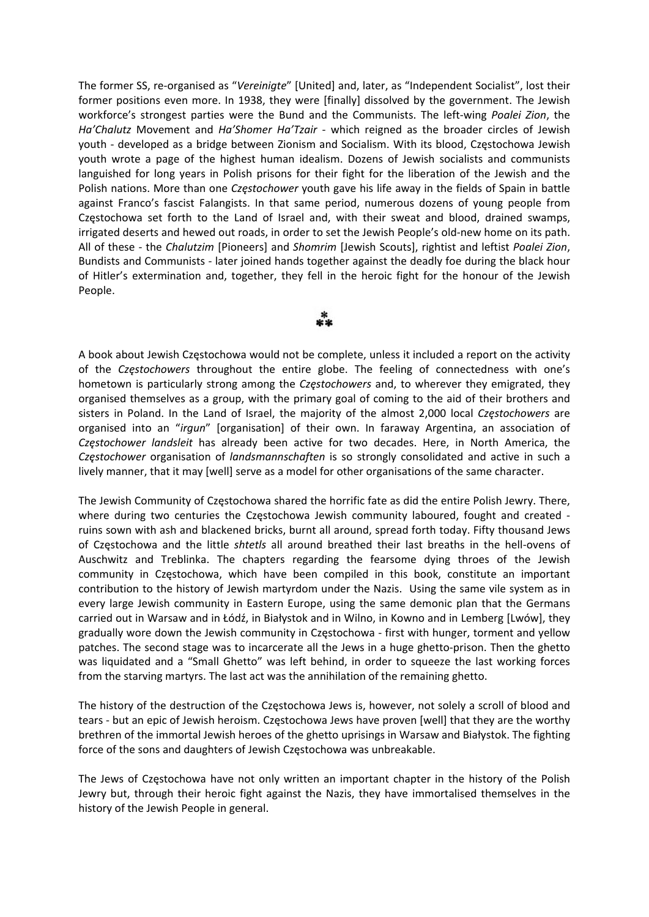The former SS, re‐organised as "*Vereinigte*" [United] and, later, as "Independent Socialist", lost their former positions even more. In 1938, they were [finally] dissolved by the government. The Jewish workforce's strongest parties were the Bund and the Communists. The left‐wing *Poalei Zion*, the *Ha'Chalutz* Movement and *Ha'Shomer Ha'Tzair* ‐ which reigned as the broader circles of Jewish youth - developed as a bridge between Zionism and Socialism. With its blood, Częstochowa Jewish youth wrote a page of the highest human idealism. Dozens of Jewish socialists and communists languished for long years in Polish prisons for their fight for the liberation of the Jewish and the Polish nations. More than one *Częstochower* youth gave his life away in the fields of Spain in battle against Franco's fascist Falangists. In that same period, numerous dozens of young people from Częstochowa set forth to the Land of Israel and, with their sweat and blood, drained swamps, irrigated deserts and hewed out roads, in order to set the Jewish People's old‐new home on its path. All of these ‐ the *Chalutzim* [Pioneers] and *Shomrim* [Jewish Scouts], rightist and leftist *Poalei Zion*, Bundists and Communists ‐ later joined hands together against the deadly foe during the black hour of Hitler's extermination and, together, they fell in the heroic fight for the honour of the Jewish People.



A book about Jewish Częstochowa would not be complete, unless it included a report on the activity of the *Częstochowers* throughout the entire globe. The feeling of connectedness with one's hometown is particularly strong among the *Częstochowers* and, to wherever they emigrated, they organised themselves as a group, with the primary goal of coming to the aid of their brothers and sisters in Poland. In the Land of Israel, the majority of the almost 2,000 local *Częstochowers* are organised into an "*irgun*" [organisation] of their own. In faraway Argentina, an association of *Częstochower landsleit* has already been active for two decades. Here, in North America, the *Częstochower* organisation of *landsmannschaften* is so strongly consolidated and active in such a lively manner, that it may [well] serve as a model for other organisations of the same character.

The Jewish Community of Częstochowa shared the horrific fate as did the entire Polish Jewry. There, where during two centuries the Częstochowa Jewish community laboured, fought and created ruins sown with ash and blackened bricks, burnt all around, spread forth today. Fifty thousand Jews of Częstochowa and the little *shtetls* all around breathed their last breaths in the hell‐ovens of Auschwitz and Treblinka. The chapters regarding the fearsome dying throes of the Jewish community in Częstochowa, which have been compiled in this book, constitute an important contribution to the history of Jewish martyrdom under the Nazis. Using the same vile system as in every large Jewish community in Eastern Europe, using the same demonic plan that the Germans carried out in Warsaw and in Łódź, in Białystok and in Wilno, in Kowno and in Lemberg [Lwów], they gradually wore down the Jewish community in Częstochowa ‐ first with hunger, torment and yellow patches. The second stage was to incarcerate all the Jews in a huge ghetto-prison. Then the ghetto was liquidated and a "Small Ghetto" was left behind, in order to squeeze the last working forces from the starving martyrs. The last act was the annihilation of the remaining ghetto.

The history of the destruction of the Częstochowa Jews is, however, not solely a scroll of blood and tears ‐ but an epic of Jewish heroism. Częstochowa Jews have proven [well] that they are the worthy brethren of the immortal Jewish heroes of the ghetto uprisings in Warsaw and Białystok. The fighting force of the sons and daughters of Jewish Częstochowa was unbreakable.

The Jews of Częstochowa have not only written an important chapter in the history of the Polish Jewry but, through their heroic fight against the Nazis, they have immortalised themselves in the history of the Jewish People in general.